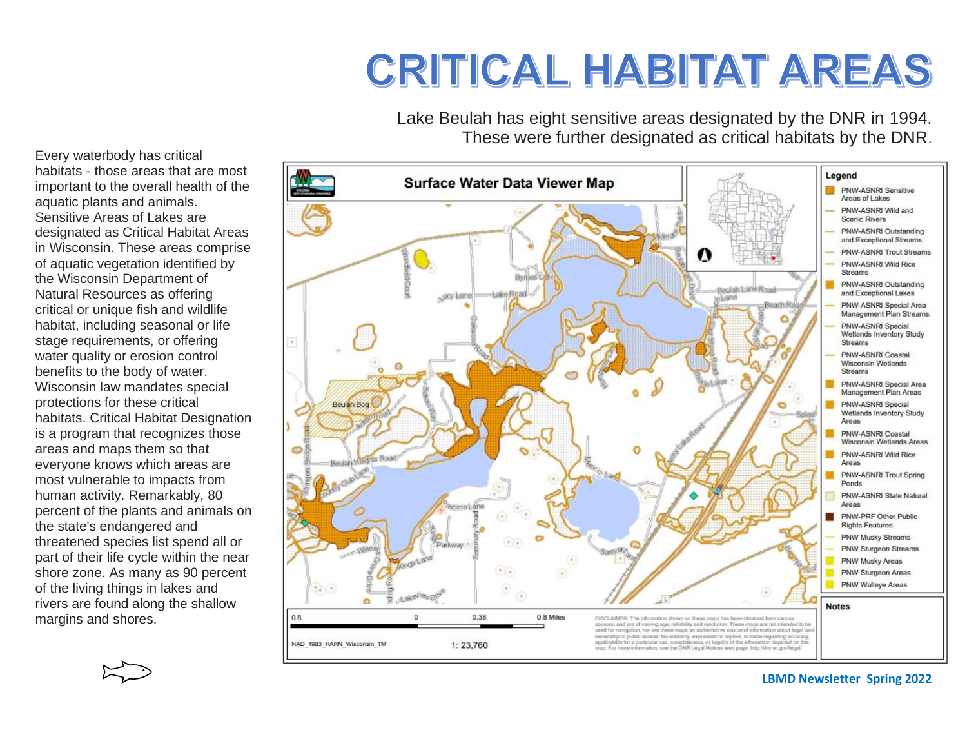## **CRITICAL HABITAT AREAS**

Lake Beulah has eight sensitive areas designated by the DNR in 1994. These were further designated as critical habitats by the DNR.

Every waterbody has critical habitats - those areas that are most important to the overall health of the aquatic plants and animals. Sensitive Areas of Lakes are designated as Critical Habitat Areas in Wisconsin. These areas comprise of aquatic vegetation identified by the Wisconsin Department of Natural Resources as offering critical or unique fish and wildlife habitat, including seasonal or life stage requirements, or offering water quality or erosion control benefits to the body of water. Wisconsin law mandates special protections for these critical habitats. Critical Habitat Designation is a program that recognizes those areas and maps them so that everyone knows which areas are most vulnerable to impacts from human activity. Remarkably, 80 percent of the plants and animals on the state's endangered and threatened species list spend all or part of their life cycle within the near shore zone. As many as 90 percent of the living things in lakes and rivers are found along the shallow margins and shores.



**LBMD Newsletter Spring 2022**